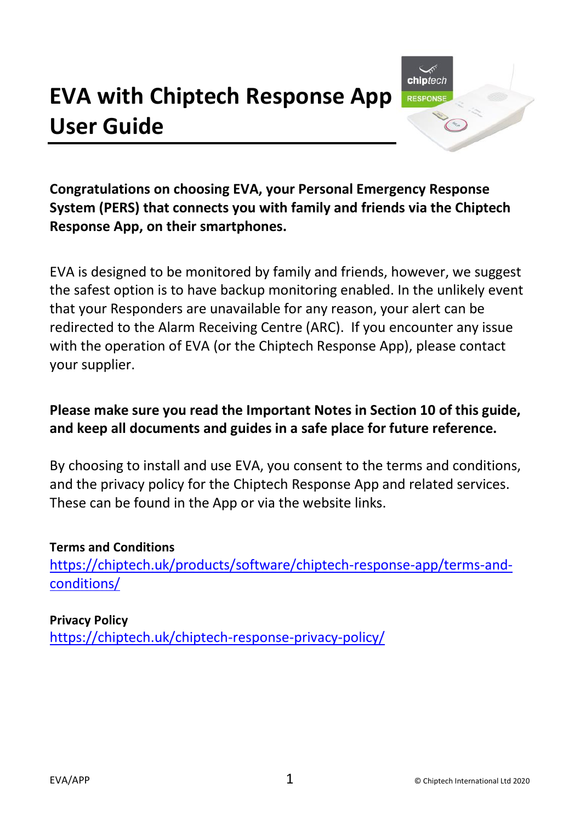# **EVA with Chiptech Response App User Guide**



**Congratulations on choosing EVA, your Personal Emergency Response System (PERS) that connects you with family and friends via the Chiptech Response App, on their smartphones.**

EVA is designed to be monitored by family and friends, however, we suggest the safest option is to have backup monitoring enabled. In the unlikely event that your Responders are unavailable for any reason, your alert can be redirected to the Alarm Receiving Centre (ARC). If you encounter any issue with the operation of EVA (or the Chiptech Response App), please contact your supplier.

#### **Please make sure you read the Important Notes in Section 10 of this guide, and keep all documents and guides in a safe place for future reference.**

By choosing to install and use EVA, you consent to the terms and conditions, and the privacy policy for the Chiptech Response App and related services. These can be found in the App or via the website links.

#### **Terms and Conditions**

[https://chiptech.uk/products/software/chiptech-response-app/terms-and](https://chiptech.uk/products/software/chiptech-response-app/terms-and-conditions/)[conditions/](https://chiptech.uk/products/software/chiptech-response-app/terms-and-conditions/)

#### **Privacy Policy**

<https://chiptech.uk/chiptech-response-privacy-policy/>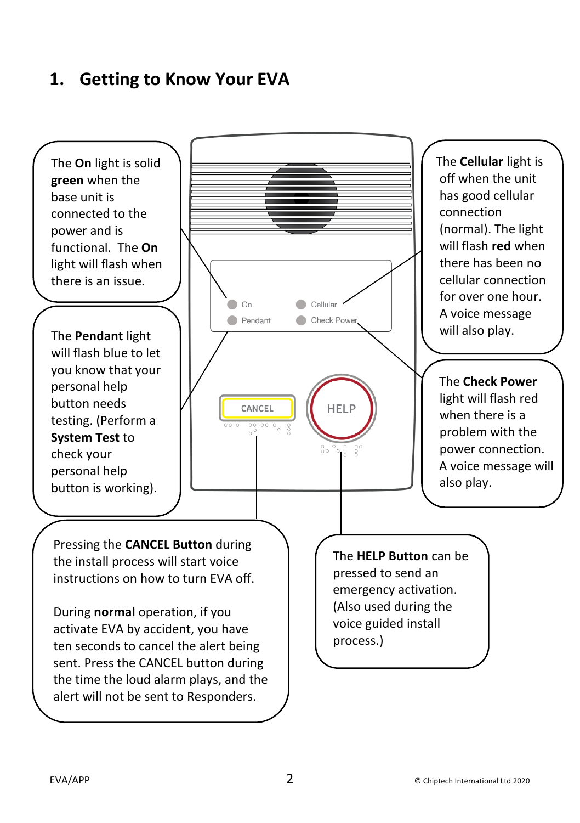### **1. Getting to Know Your EVA**

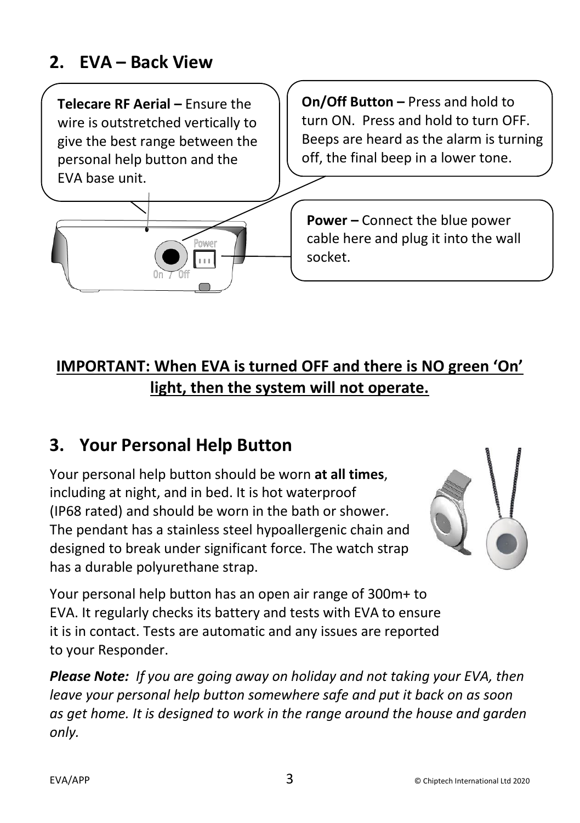### **2. EVA – Back View**

**Telecare RF Aerial –** Ensure the wire is outstretched vertically to give the best range between the personal help button and the EVA base unit.

**On/Off Button –** Press and hold to turn ON. Press and hold to turn OFF. Beeps are heard as the alarm is turning off, the final beep in a lower tone.

**Power –** Connect the blue power cable here and plug it into the wall socket.

### **IMPORTANT: When EVA is turned OFF and there is NO green 'On' light, then the system will not operate.**

### **3. Your Personal Help Button**

Your personal help button should be worn **at all times**, including at night, and in bed. It is hot waterproof (IP68 rated) and should be worn in the bath or shower. The pendant has a stainless steel hypoallergenic chain and designed to break under significant force. The watch strap has a durable polyurethane strap.

Your personal help button has an open air range of 300m+ to EVA. It regularly checks its battery and tests with EVA to ensure it is in contact. Tests are automatic and any issues are reported to your Responder.

*Please Note: If you are going away on holiday and not taking your EVA, then leave your personal help button somewhere safe and put it back on as soon as get home. It is designed to work in the range around the house and garden only.*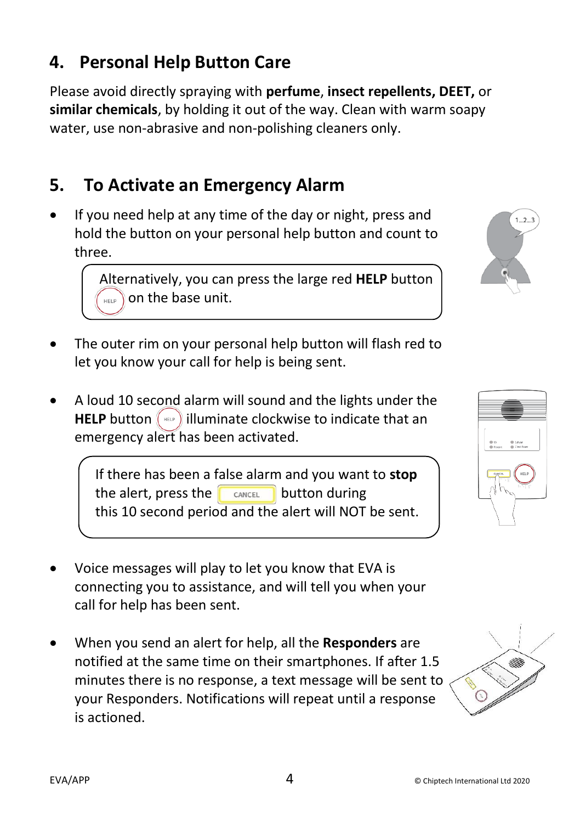### **4. Personal Help Button Care**

Please avoid directly spraying with **perfume**, **insect repellents, DEET,** or **similar chemicals**, by holding it out of the way. Clean with warm soapy water, use non-abrasive and non-polishing cleaners only.

### **5. To Activate an Emergency Alarm**

• If you need help at any time of the day or night, press and hold the button on your personal help button and count to three.

> Alternatively, you can press the large red **HELP** button on the base unit.

- The outer rim on your personal help button will flash red to let you know your call for help is being sent.
- A loud 10 second alarm will sound and the lights under the **HELP** button  $\left(\begin{array}{c} \n\text{min} \\
\end{array}\right)$  illuminate clockwise to indicate that an emergency alert has been activated.

 If there has been a false alarm and you want to **stop** the alert, press the  $\Box$  button during this 10 second period and the alert will NOT be sent.

- Voice messages will play to let you know that EVA is connecting you to assistance, and will tell you when your call for help has been sent.
- When you send an alert for help, all the **Responders** are notified at the same time on their smartphones. If after 1.5 minutes there is no response, a text message will be sent to your Responders. Notifications will repeat until a response is actioned.





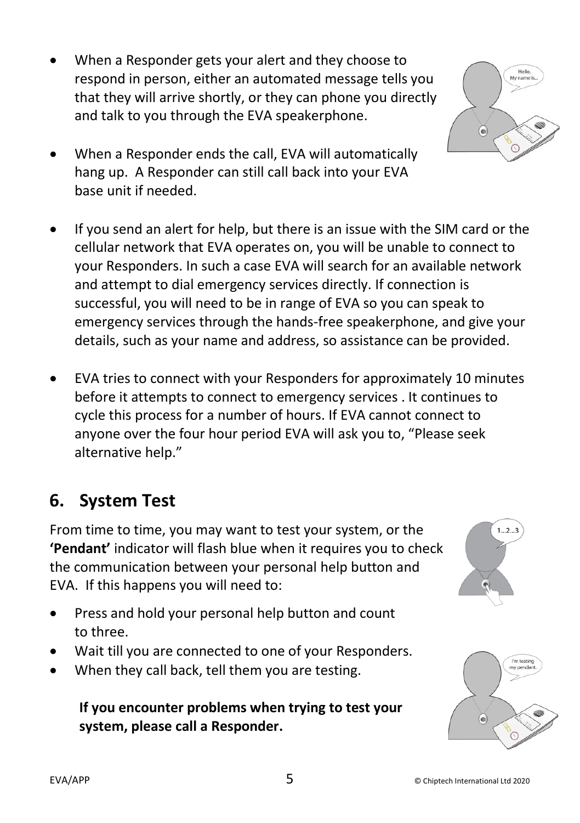- When a Responder gets your alert and they choose to respond in person, either an automated message tells you that they will arrive shortly, or they can phone you directly and talk to you through the EVA speakerphone.
- When a Responder ends the call, EVA will automatically hang up. A Responder can still call back into your EVA base unit if needed.
- If you send an alert for help, but there is an issue with the SIM card or the cellular network that EVA operates on, you will be unable to connect to your Responders. In such a case EVA will search for an available network and attempt to dial emergency services directly. If connection is successful, you will need to be in range of EVA so you can speak to emergency services through the hands-free speakerphone, and give your details, such as your name and address, so assistance can be provided.
- EVA tries to connect with your Responders for approximately 10 minutes before it attempts to connect to emergency services . It continues to cycle this process for a number of hours. If EVA cannot connect to anyone over the four hour period EVA will ask you to, "Please seek alternative help."

### **6. System Test**

From time to time, you may want to test your system, or the **'Pendant'** indicator will flash blue when it requires you to check the communication between your personal help button and EVA. If this happens you will need to:

- Press and hold your personal help button and count to three.
- Wait till you are connected to one of your Responders.
- When they call back, tell them you are testing.

#### **If you encounter problems when trying to test your system, please call a Responder.**

6



I'm testing my per

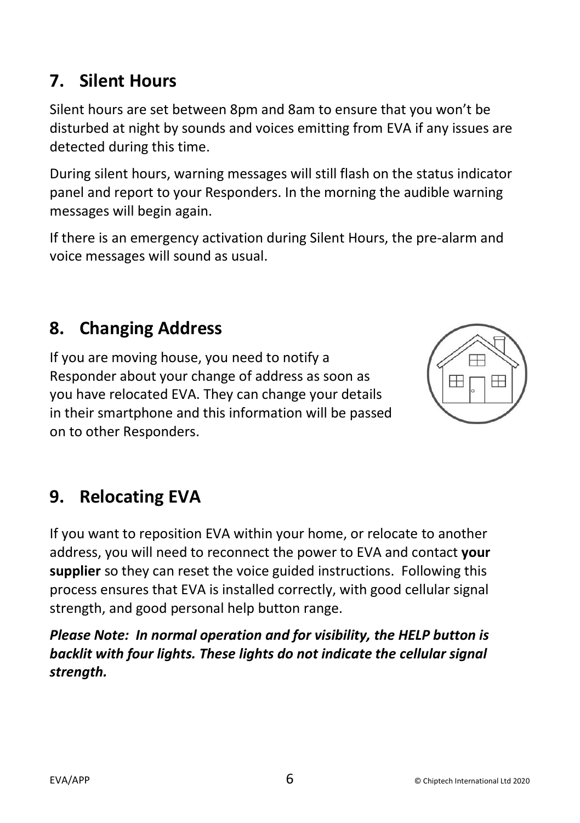# **7. Silent Hours**

Silent hours are set between 8pm and 8am to ensure that you won't be disturbed at night by sounds and voices emitting from EVA if any issues are detected during this time.

During silent hours, warning messages will still flash on the status indicator panel and report to your Responders. In the morning the audible warning messages will begin again.

If there is an emergency activation during Silent Hours, the pre-alarm and voice messages will sound as usual.

## **8. Changing Address**

If you are moving house, you need to notify a Responder about your change of address as soon as you have relocated EVA. They can change your details in their smartphone and this information will be passed on to other Responders.

# **9. Relocating EVA**

If you want to reposition EVA within your home, or relocate to another address, you will need to reconnect the power to EVA and contact **your supplier** so they can reset the voice guided instructions. Following this process ensures that EVA is installed correctly, with good cellular signal strength, and good personal help button range.

*Please Note: In normal operation and for visibility, the HELP button is backlit with four lights. These lights do not indicate the cellular signal strength.*

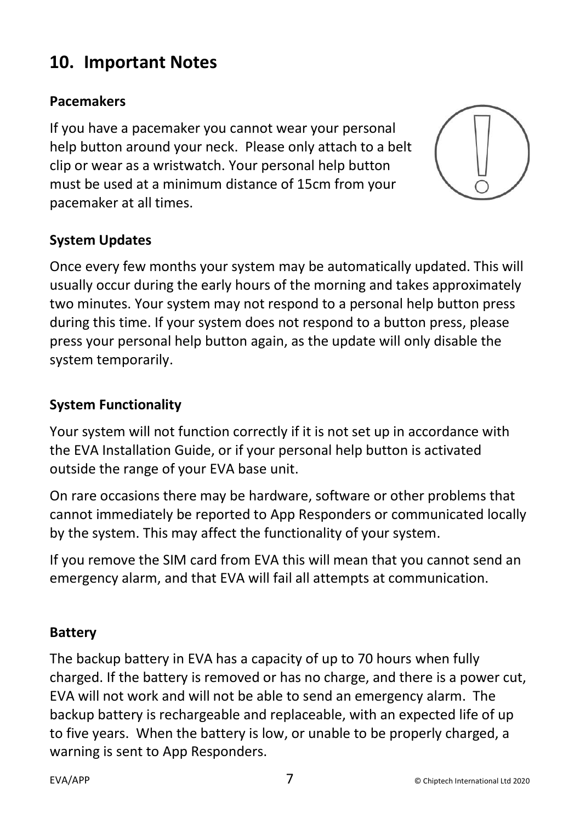### **10. Important Notes**

#### **Pacemakers**

If you have a pacemaker you cannot wear your personal help button around your neck. Please only attach to a belt clip or wear as a wristwatch. Your personal help button must be used at a minimum distance of 15cm from your pacemaker at all times.



#### **System Updates**

Once every few months your system may be automatically updated. This will usually occur during the early hours of the morning and takes approximately two minutes. Your system may not respond to a personal help button press during this time. If your system does not respond to a button press, please press your personal help button again, as the update will only disable the system temporarily.

#### **System Functionality**

Your system will not function correctly if it is not set up in accordance with the EVA Installation Guide, or if your personal help button is activated outside the range of your EVA base unit.

On rare occasions there may be hardware, software or other problems that cannot immediately be reported to App Responders or communicated locally by the system. This may affect the functionality of your system.

If you remove the SIM card from EVA this will mean that you cannot send an emergency alarm, and that EVA will fail all attempts at communication.

#### **Battery**

The backup battery in EVA has a capacity of up to 70 hours when fully charged. If the battery is removed or has no charge, and there is a power cut, EVA will not work and will not be able to send an emergency alarm. The backup battery is rechargeable and replaceable, with an expected life of up to five years. When the battery is low, or unable to be properly charged, a warning is sent to App Responders.